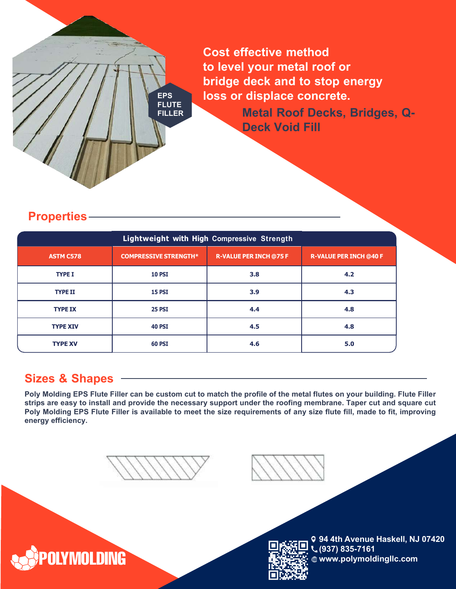**Cost effective method to level your metal roof or bridge deck and to stop energy loss or displace concrete.**

**Metal Roof Decks, Bridges, Q-Deck Void Fill**

### **Properties**

|                  | Lightweight with High Compressive Strength |                               |                               |
|------------------|--------------------------------------------|-------------------------------|-------------------------------|
| <b>ASTM C578</b> | <b>COMPRESSIVE STRENGTH*</b>               | <b>R-VALUE PER INCH @75 F</b> | <b>R-VALUE PER INCH @40 F</b> |
| <b>TYPE I</b>    | <b>10 PSI</b>                              | 3.8                           | 4.2                           |
| <b>TYPE II</b>   | <b>15 PSI</b>                              | 3.9                           | 4.3                           |
| <b>TYPE IX</b>   | <b>25 PSI</b>                              | 4.4                           | 4.8                           |
| <b>TYPE XIV</b>  | <b>40 PSI</b>                              | 4.5                           | 4.8                           |
| <b>TYPE XV</b>   | <b>60 PSI</b>                              | 4.6                           | 5.0                           |

# **Sizes & Shapes**

**POLYMOLDING** 

Poly Molding EPS Flute Filler can be custom cut to match the profile of the metal flutes on your building. Flute Filler strips are easy to install and provide the necessary support under the roofing membrane. Taper cut and square cut Poly Molding EPS Flute Filler is available to meet the size requirements of any size flute fill, made to fit, improving<br>energy efficioney **energy efficiency.**

**EPS FLUTE FILLER**



**94 4th Avenue Haskell, NJ 07420 (937) 835-7161 www.polymoldingllc.com (9) 835-7161**